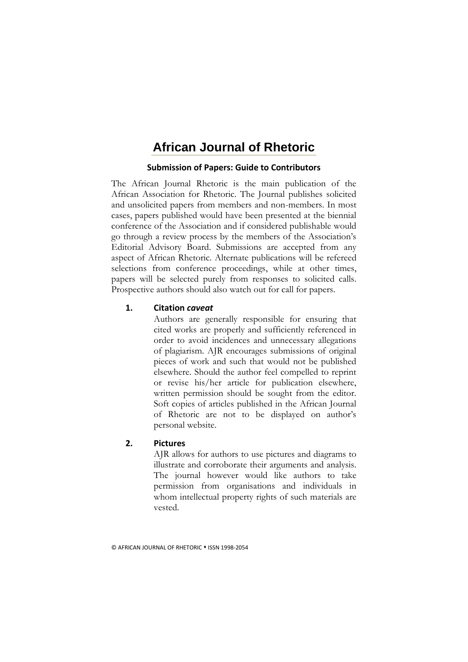# **African Journal of Rhetoric**

# **Submission of Papers: Guide to Contributors**

The African Journal Rhetoric is the main publication of the African Association for Rhetoric. The Journal publishes solicited and unsolicited papers from members and non-members. In most cases, papers published would have been presented at the biennial conference of the Association and if considered publishable would go through a review process by the members of the Association's Editorial Advisory Board. Submissions are accepted from any aspect of African Rhetoric. Alternate publications will be refereed selections from conference proceedings, while at other times, papers will be selected purely from responses to solicited calls. Prospective authors should also watch out for call for papers.

# **1. Citation** *caveat*

Authors are generally responsible for ensuring that cited works are properly and sufficiently referenced in order to avoid incidences and unnecessary allegations of plagiarism. AJR encourages submissions of original pieces of work and such that would not be published elsewhere. Should the author feel compelled to reprint or revise his/her article for publication elsewhere, written permission should be sought from the editor. Soft copies of articles published in the African Journal of Rhetoric are not to be displayed on author's personal website.

# **2. Pictures**

AJR allows for authors to use pictures and diagrams to illustrate and corroborate their arguments and analysis. The journal however would like authors to take permission from organisations and individuals in whom intellectual property rights of such materials are vested.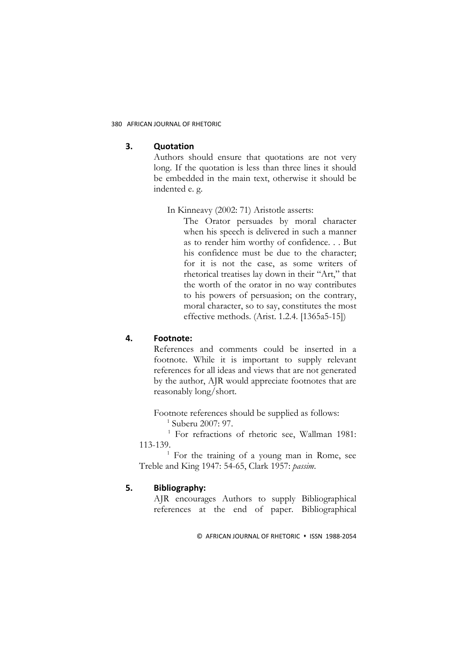#### **3. Quotation**

Authors should ensure that quotations are not very long. If the quotation is less than three lines it should be embedded in the main text, otherwise it should be indented e. g.

#### In Kinneavy (2002: 71) Aristotle asserts:

The Orator persuades by moral character when his speech is delivered in such a manner as to render him worthy of confidence. . . But his confidence must be due to the character; for it is not the case, as some writers of rhetorical treatises lay down in their "Art," that the worth of the orator in no way contributes to his powers of persuasion; on the contrary, moral character, so to say, constitutes the most effective methods. (Arist. 1.2.4. [1365a5-15])

# **4. Footnote:**

References and comments could be inserted in a footnote. While it is important to supply relevant references for all ideas and views that are not generated by the author, AJR would appreciate footnotes that are reasonably long/short.

Footnote references should be supplied as follows: 1 Suberu 2007: 97.

<sup>1</sup> For refractions of rhetoric see, Wallman 1981: 113-139.

 $<sup>1</sup>$  For the training of a young man in Rome, see</sup> Treble and King 1947: 54-65, Clark 1957: *passim*.

# **5. Bibliography:**

AJR encourages Authors to supply Bibliographical references at the end of paper. Bibliographical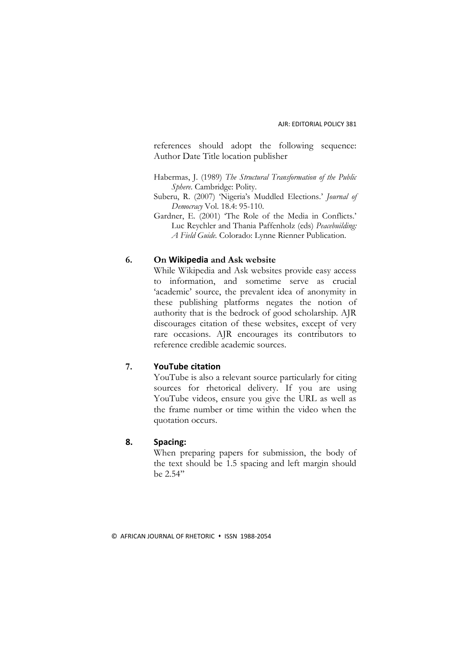references should adopt the following sequence: Author Date Title location publisher

Habermas, J. (1989) *The Structural Transformation of the Public Sphere*. Cambridge: Polity.

- Suberu, R. (2007) 'Nigeria's Muddled Elections.' *Journal of Democracy* Vol. 18.4: 95-110.
- Gardner, E. (2001) 'The Role of the Media in Conflicts.' Luc Reychler and Thania Paffenholz (eds) *Peacebuilding: A Field Guide.* Colorado: Lynne Rienner Publication.

#### **6. On Wikipedia and Ask website**

While Wikipedia and Ask websites provide easy access to information, and sometime serve as crucial 'academic' source, the prevalent idea of anonymity in these publishing platforms negates the notion of authority that is the bedrock of good scholarship. AJR discourages citation of these websites, except of very rare occasions. AJR encourages its contributors to reference credible academic sources.

# **7. YouTube citation**

YouTube is also a relevant source particularly for citing sources for rhetorical delivery. If you are using YouTube videos, ensure you give the URL as well as the frame number or time within the video when the quotation occurs.

### **8. Spacing:**

When preparing papers for submission, the body of the text should be 1.5 spacing and left margin should be 2.54''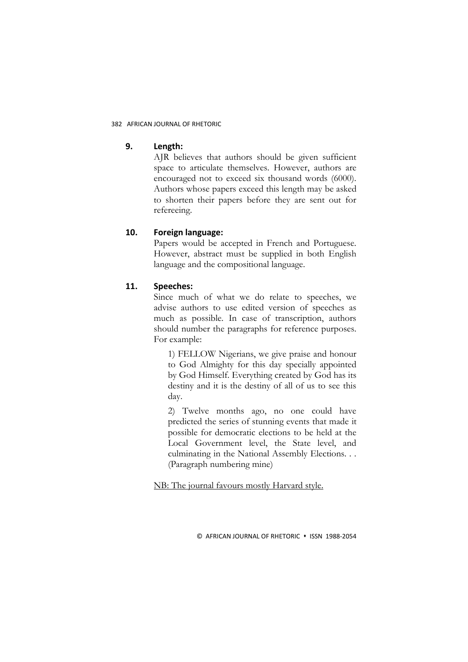#### **9. Length:**

AJR believes that authors should be given sufficient space to articulate themselves. However, authors are encouraged not to exceed six thousand words (6000). Authors whose papers exceed this length may be asked to shorten their papers before they are sent out for refereeing.

# **10. Foreign language:**

Papers would be accepted in French and Portuguese. However, abstract must be supplied in both English language and the compositional language.

# **11. Speeches:**

Since much of what we do relate to speeches, we advise authors to use edited version of speeches as much as possible. In case of transcription, authors should number the paragraphs for reference purposes. For example:

1) FELLOW Nigerians, we give praise and honour to God Almighty for this day specially appointed by God Himself. Everything created by God has its destiny and it is the destiny of all of us to see this day.

2) Twelve months ago, no one could have predicted the series of stunning events that made it possible for democratic elections to be held at the Local Government level, the State level, and culminating in the National Assembly Elections. . . (Paragraph numbering mine)

NB: The journal favours mostly Harvard style.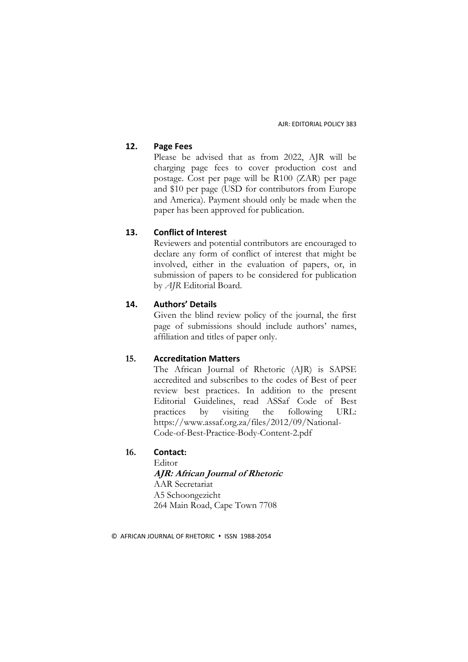AJR: EDITORIAL POLICY 383

# **12. Page Fees**

Please be advised that as from 2022, AJR will be charging page fees to cover production cost and postage. Cost per page will be R100 (ZAR) per page and \$10 per page (USD for contributors from Europe and America). Payment should only be made when the paper has been approved for publication.

# **13. Conflict of Interest**

Reviewers and potential contributors are encouraged to declare any form of conflict of interest that might be involved, either in the evaluation of papers, or, in submission of papers to be considered for publication by *AJR* Editorial Board.

# **14. Authors' Details**

Given the blind review policy of the journal, the first page of submissions should include authors' names, affiliation and titles of paper only.

### **15. Accreditation Matters**

The African Journal of Rhetoric (AJR) is SAPSE accredited and subscribes to the codes of Best of peer review best practices. In addition to the present Editorial Guidelines, read ASSaf Code of Best practices by visiting the following URL: [https://www.assaf.org.za/files/2012/09/National-](https://www.assaf.org.za/files/2012/09/National-Code-of-Best-Practice-Body-Content-2.pdf)[Code-of-Best-Practice-Body-Content-2.pdf](https://www.assaf.org.za/files/2012/09/National-Code-of-Best-Practice-Body-Content-2.pdf)

# **16. Contact:**

**Editor AJR: African Journal of Rhetoric** AAR Secretariat A5 Schoongezicht 264 Main Road, Cape Town 7708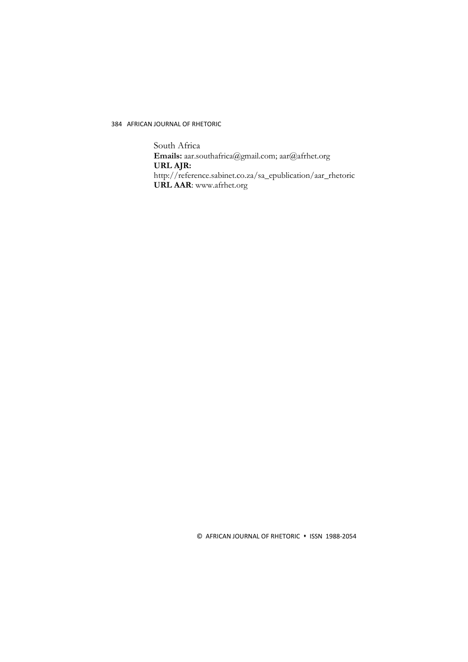South Africa **Emails:** aar.southafrica@gmail.com; aar@afrhet.org **URL AJR:** [http://reference.sabinet.co.za/sa\\_epublication/aar\\_rhetoric](http://reference.sabinet.co.za/sa_epublication/aar_rhetoric) **URL AAR**: www.afrhet.org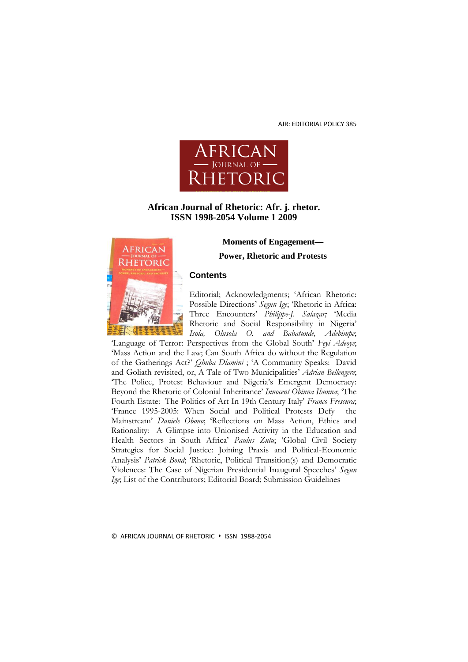AJR: EDITORIAL POLICY 385



# **African Journal of Rhetoric: Afr. j. rhetor. ISSN 1998-2054 Volume 1 2009**



**Moments of Engagement—**

**Power, Rhetoric and Protests**

#### **Contents**

Editorial; Acknowledgments; 'African Rhetoric: Possible Directions' *Segun Ige*; 'Rhetoric in Africa: Three Encounters' *Philippe-J. Salazar;* 'Media Rhetoric and Social Responsibility in Nigeria' *Isola, Olusola O. and Babatunde, Adebimpe*;

'Language of Terror: Perspectives from the Global South' *Feyi Adeoye*; 'Mass Action and the Law; Can South Africa do without the Regulation of the Gatherings Act?' *Qhuba Dlamini* ; 'A Community Speaks: David and Goliath revisited, or, A Tale of Two Municipalities' *Adrian Bellengere*; 'The Police, Protest Behaviour and Nigeria's Emergent Democracy: Beyond the Rhetoric of Colonial Inheritance' *Innocent Obinna Ihunna*; 'The Fourth Estate: The Politics of Art In 19th Century Italy' *Franco Frescura*; 'France 1995-2005: When Social and Political Protests Defy the Mainstream' *Daniele Obono*; 'Reflections on Mass Action, Ethics and Rationality: A Glimpse into Unionised Activity in the Education and Health Sectors in South Africa' *Paulus Zulu*; 'Global Civil Society Strategies for Social Justice: Joining Praxis and Political-Economic Analysis' *Patrick Bond*; 'Rhetoric, Political Transition(s) and Democratic Violences: The Case of Nigerian Presidential Inaugural Speeches' *Segun Ige*; List of the Contributors; Editorial Board; Submission Guidelines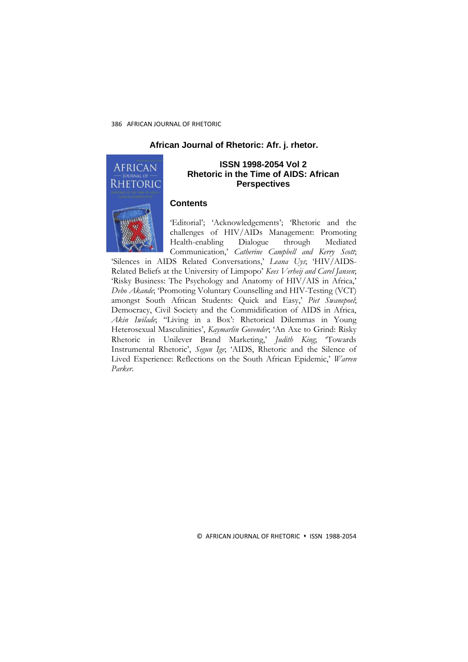#### **African Journal of Rhetoric: Afr. j. rhetor.**



#### **ISSN 1998-2054 Vol 2 Rhetoric in the Time of AIDS: African Perspectives**

# **Contents**

'Editorial'; 'Acknowledgements'; 'Rhetoric and the challenges of HIV/AIDs Management: Promoting Health-enabling Dialogue through Mediated Communication,' *Catherine Campbell and Kerry Scott*;

'Silences in AIDS Related Conversations,' *Leana Uys*; 'HIV/AIDS-Related Beliefs at the University of Limpopo' *Kees Verheij and Carel Jansen*; 'Risky Business: The Psychology and Anatomy of HIV/AIS in Africa,' *Debo Akande*; 'Promoting Voluntary Counselling and HIV-Testing (VCT) amongst South African Students: Quick and Easy,' *Piet Swanepoel*; Democracy, Civil Society and the Commidification of AIDS in Africa, Akin Iwilade; "Living in a Box': Rhetorical Dilemmas in Young Heterosexual Masculinities', *Kaymarlin Govender*; 'An Axe to Grind: Risky Rhetoric in Unilever Brand Marketing,<sup>'</sup> *Judith King*; 'Towards Instrumental Rhetoric', *Segun Ige*; 'AIDS, Rhetoric and the Silence of Lived Experience: Reflections on the South African Epidemic,' *Warren Parker*.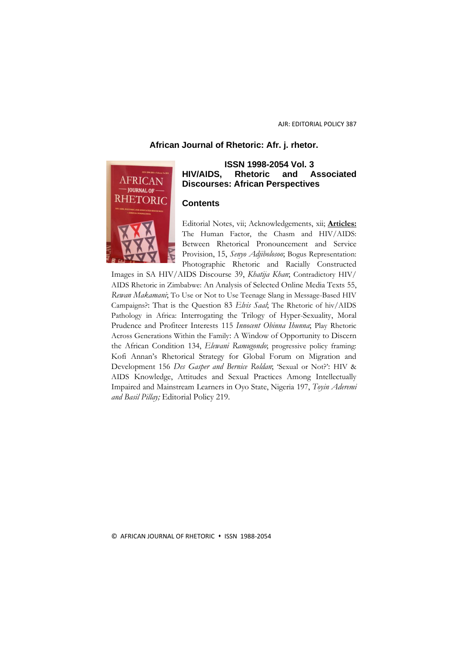### **African Journal of Rhetoric: Afr. j. rhetor.**



# **ISSN 1998-2054 Vol. 3 HIV/AIDS, Rhetoric and Associated Discourses: African Perspectives**

#### **Contents**

Editorial Notes, vii; Acknowledgements, xii; **Articles:**  The Human Factor, the Chasm and HIV/AIDS: Between Rhetorical Pronouncement and Service Provision, 15, *Senyo Adjibolosoo*; Bogus Representation: Photographic Rhetoric and Racially Constructed

Images in SA HIV/AIDS Discourse 39, *Khatija Khan*; Contradictory HIV/ AIDS Rhetoric in Zimbabwe: An Analysis of Selected Online Media Texts 55, *Rewan Makamani*; To Use or Not to Use Teenage Slang in Message-Based HIV Campaigns?: That is the Question 83 *Elvis Saal*; The Rhetoric of hiv/AIDS Pathology in Africa: Interrogating the Trilogy of Hyper-Sexuality, Moral Prudence and Profiteer Interests 115 *Innocent Obinna Ihunna*; Play Rhetoric Across Generations Within the Family: A Window of Opportunity to Discern the African Condition 134, *Elewani Ramugondo*; progressive policy framing: Kofi Annan's Rhetorical Strategy for Global Forum on Migration and Development 156 *Des Gasper and Bernice Roldan*; 'Sexual or Not?': HIV & AIDS Knowledge, Attitudes and Sexual Practices Among Intellectually Impaired and Mainstream Learners in Oyo State, Nigeria 197, *Toyin Aderemi and Basil Pillay;* Editorial Policy 219.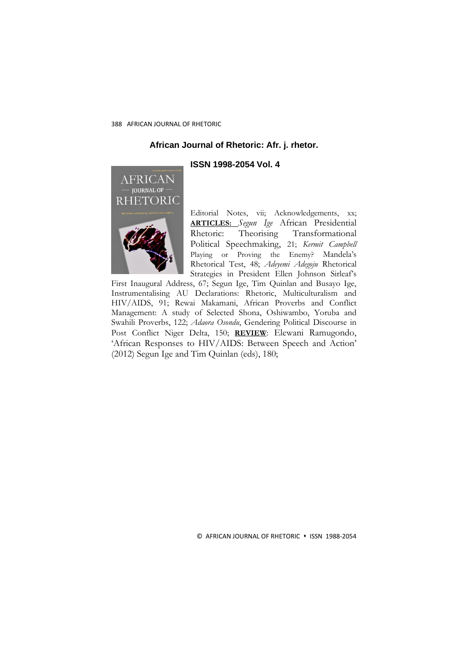#### **African Journal of Rhetoric: Afr. j. rhetor.**

#### **ISSN 1998-2054 Vol. 4**



Editorial Notes, vii; Acknowledgements, xx; **ARTICLES:** *Segun Ige* African Presidential Rhetoric: Theorising Transformational Political Speechmaking, 21; *Kermit Campbell* Playing or Proving the Enemy? Mandela's Rhetorical Test, 48; *Adeyemi Adegoju* Rhetorical Strategies in President Ellen Johnson Sirleaf's

First Inaugural Address, 67; Segun Ige, Tim Quinlan and Busayo Ige, Instrumentalising AU Declarations: Rhetoric, Multiculturalism and HIV/AIDS, 91; Rewai Makamani, African Proverbs and Conflict Management: A study of Selected Shona, Oshiwambo, Yoruba and Swahili Proverbs, 122; *Adaora Osondu*, Gendering Political Discourse in Post Conflict Niger Delta, 150; **REVIEW**: Elewani Ramugondo, 'African Responses to HIV/AIDS: Between Speech and Action' (2012) Segun Ige and Tim Quinlan (eds), 180;